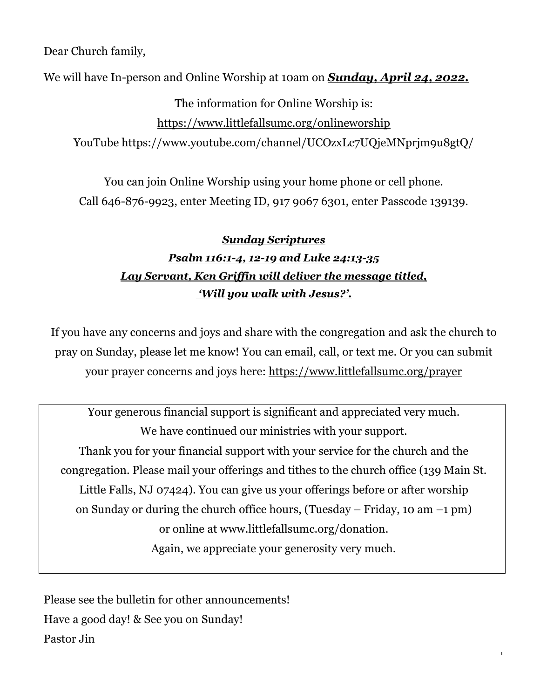Dear Church family,

We will have In-person and Online Worship at 10am on *Sunday, April 24, 2022.*

# The information for Online Worship is:

## <https://www.littlefallsumc.org/onlineworship>

YouTube<https://www.youtube.com/channel/UCOzxLc7UQjeMNprjm9u8gtQ/>

You can join Online Worship using your home phone or cell phone. Call 646-876-9923, enter Meeting ID, 917 9067 6301, enter Passcode 139139.

# *Sunday Scriptures Psalm 116:1-4, 12-19 and Luke 24:13-35 Lay Servant, Ken Griffin will deliver the message titled, 'Will you walk with Jesus?'.*

If you have any concerns and joys and share with the congregation and ask the church to pray on Sunday, please let me know! You can email, call, or text me. Or you can submit your prayer concerns and joys here: <https://www.littlefallsumc.org/prayer>

Your generous financial support is significant and appreciated very much. We have continued our ministries with your support. Thank you for your financial support with your service for the church and the congregation. Please mail your offerings and tithes to the church office (139 Main St. Little Falls, NJ 07424). You can give us your offerings before or after worship on Sunday or during the church office hours, (Tuesday – Friday, 10 am  $-1$  pm) or online at www.littlefallsumc.org/donation. Again, we appreciate your generosity very much.

1

Please see the bulletin for other announcements! Have a good day! & See you on Sunday! Pastor Jin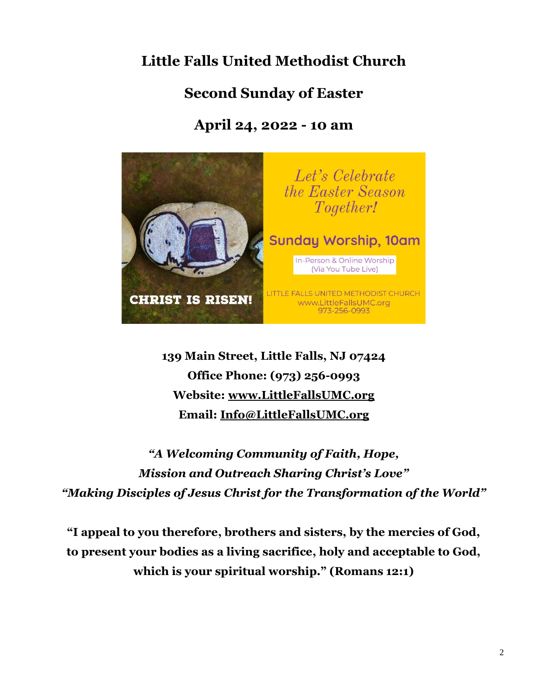# **Little Falls United Methodist Church**

# **Second Sunday of Easter**

# **April 24, 2022 - 10 am**



**139 Main Street, Little Falls, NJ 07424 Office Phone: (973) 256-0993 Website: [www.LittleFallsUMC.org](http://www.littlefallsumc.org/) Email: [Info@LittleFallsUMC.org](mailto:Info@LittleFallsUMC.org)**

*"A Welcoming Community of Faith, Hope, Mission and Outreach Sharing Christ's Love" "Making Disciples of Jesus Christ for the Transformation of the World"*

**"I appeal to you therefore, brothers and sisters, by the mercies of God, to present your bodies as a living sacrifice, holy and acceptable to God, which is your spiritual worship." (Romans 12:1)**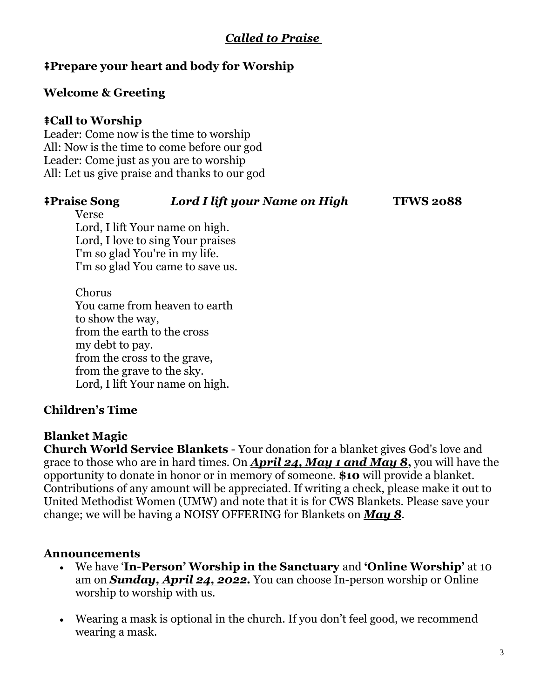# *Called to Praise*

# ⭻**Prepare your heart and body for Worship**

# **Welcome & Greeting**

# ⭻**Call to Worship**

Leader: Come now is the time to worship All: Now is the time to come before our god Leader: Come just as you are to worship All: Let us give praise and thanks to our god

| <b>‡Praise Song</b>               | Lord I lift your Name on High | <b>TFWS 2088</b> |
|-----------------------------------|-------------------------------|------------------|
| Verse                             |                               |                  |
| Lord, I lift Your name on high.   |                               |                  |
| Lord, I love to sing Your praises |                               |                  |
| I'm so glad You're in my life.    |                               |                  |
| I'm so glad You came to save us.  |                               |                  |
| Chorus                            |                               |                  |
| You came from heaven to earth     |                               |                  |
| to show the way,                  |                               |                  |
| from the earth to the cross       |                               |                  |
| my debt to pay.                   |                               |                  |
| from the cross to the grave,      |                               |                  |
| from the grave to the sky.        |                               |                  |
| Lord, I lift Your name on high.   |                               |                  |

# **Children's Time**

# **Blanket Magic**

**Church World Service Blankets** - Your donation for a blanket gives God's love and grace to those who are in hard times. On *April 24, May 1 and May 8***,** you will have the opportunity to donate in honor or in memory of someone. **\$10** will provide a blanket. Contributions of any amount will be appreciated. If writing a check, please make it out to United Methodist Women (UMW) and note that it is for CWS Blankets. Please save your change; we will be having a NOISY OFFERING for Blankets on *May 8*.

#### **Announcements**

- We have '**In-Person' Worship in the Sanctuary** and **'Online Worship'** at 10 am on *Sunday, April 24, 2022.* You can choose In-person worship or Online worship to worship with us.
- Wearing a mask is optional in the church. If you don't feel good, we recommend wearing a mask.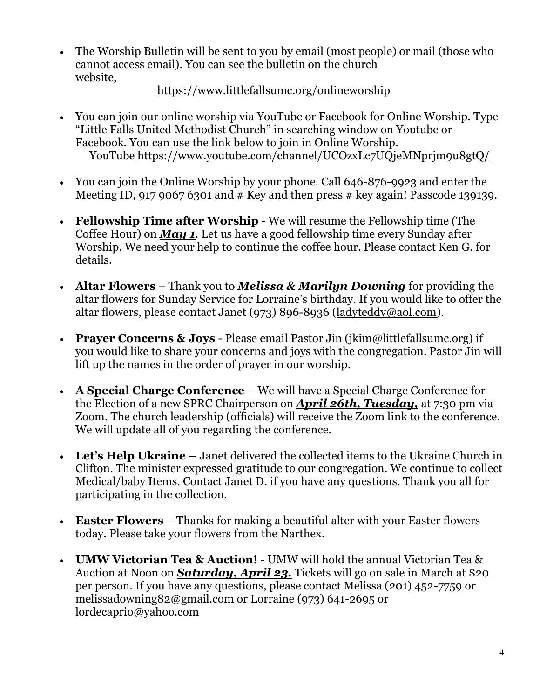• The Worship Bulletin will be sent to you by email (most people) or mail (those who cannot access email). You can see the bulletin on the church website,

## <https://www.littlefallsumc.org/onlineworship>

- You can join our online worship via YouTube or Facebook for Online Worship. Type "Little Falls United Methodist Church" in searching window on Youtube or Facebook. You can use the link below to join in Online Worship. YouTube<https://www.youtube.com/channel/UCOzxLc7UQjeMNprjm9u8gtQ/>
- You can join the Online Worship by your phone. Call 646-876-9923 and enter the Meeting ID, 917 9067 6301 and  $#$  Key and then press  $#$  key again! Passcode 139139.
- **Fellowship Time after Worship** We will resume the Fellowship time (The Coffee Hour) on *May 1*. Let us have a good fellowship time every Sunday after Worship. We need your help to continue the coffee hour. Please contact Ken G. for details.
- **Altar Flowers** Thank you to *Melissa & Marilyn Downing* for providing the altar flowers for Sunday Service for Lorraine's birthday. If you would like to offer the altar flowers, please contact Janet (973) 896-8936 [\(ladyteddy@aol.com\)](mailto:ladyteddy@aol.com).
- **Prayer Concerns & Joys** Please email Pastor Jin (jkim@littlefallsumc.org) if you would like to share your concerns and joys with the congregation. Pastor Jin will lift up the names in the order of prayer in our worship.
- **A Special Charge Conference** We will have a Special Charge Conference for the Election of a new SPRC Chairperson on *April 26th, Tuesday,* at 7:30 pm via Zoom. The church leadership (officials) will receive the Zoom link to the conference. We will update all of you regarding the conference.
- Let's Help Ukraine Janet delivered the collected items to the Ukraine Church in Clifton. The minister expressed gratitude to our congregation. We continue to collect Medical/baby Items. Contact Janet D. if you have any questions. Thank you all for participating in the collection.
- **Easter Flowers** Thanks for making a beautiful alter with your Easter flowers today. Please take your flowers from the Narthex.
- **UMW Victorian Tea & Auction!** UMW will hold the annual Victorian Tea & Auction at Noon on *Saturday, April 23.* Tickets will go on sale in March at \$20 per person. If you have any questions, please contact Melissa (201) 452-7759 or [melissadowning82@gmail.com](mailto:melissadowning82@gmail.com) or Lorraine (973) 641-2695 or [lordecaprio@yahoo.com](mailto:lordecaprio@yahoo.com)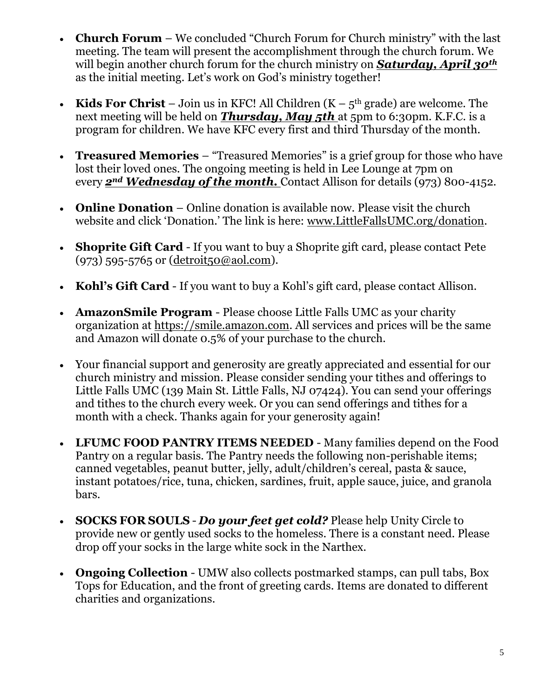- **Church Forum** We concluded "Church Forum for Church ministry" with the last meeting. The team will present the accomplishment through the church forum. We will begin another church forum for the church ministry on *Saturday, April 30th* as the initial meeting. Let's work on God's ministry together!
- **Kids For Christ** Join us in KFC! All Children  $(K 5<sup>th</sup> \text{ grade})$  are welcome. The next meeting will be held on **Thursday, May 5th** at 5pm to 6:30pm. K.F.C. is a program for children. We have KFC every first and third Thursday of the month.
- **Treasured Memories**  "Treasured Memories" is a grief group for those who have lost their loved ones. The ongoing meeting is held in Lee Lounge at 7pm on every *2nd Wednesday of the month.* Contact Allison for details (973) 800-4152.
- **Online Donation** Online donation is available now. Please visit the church website and click 'Donation.' The link is here: [www.LittleFallsUMC.org/donation.](http://www.littlefallsumc.org/donation)
- **Shoprite Gift Card** If you want to buy a Shoprite gift card, please contact Pete (973) 595-5765 or [\(detroit50@aol.com\)](mailto:detroit50@aol.com).
- **Kohl's Gift Card** If you want to buy a Kohl's gift card, please contact Allison.
- **AmazonSmile Program**  Please choose Little Falls UMC as your charity organization at https://smile.amazon.com. All services and prices will be the same and Amazon will donate 0.5% of your purchase to the church.
- Your financial support and generosity are greatly appreciated and essential for our church ministry and mission. Please consider sending your tithes and offerings to Little Falls UMC (139 Main St. Little Falls, NJ 07424). You can send your offerings and tithes to the church every week. Or you can send offerings and tithes for a month with a check. Thanks again for your generosity again!
- **LFUMC FOOD PANTRY ITEMS NEEDED** Many families depend on the Food Pantry on a regular basis. The Pantry needs the following non-perishable items; canned vegetables, peanut butter, jelly, adult/children's cereal, pasta & sauce, instant potatoes/rice, tuna, chicken, sardines, fruit, apple sauce, juice, and granola bars.
- **SOCKS FOR SOULS** *Do your feet get cold?* Please help Unity Circle to provide new or gently used socks to the homeless. There is a constant need. Please drop off your socks in the large white sock in the Narthex.
- **Ongoing Collection** UMW also collects postmarked stamps, can pull tabs, Box Tops for Education, and the front of greeting cards. Items are donated to different charities and organizations.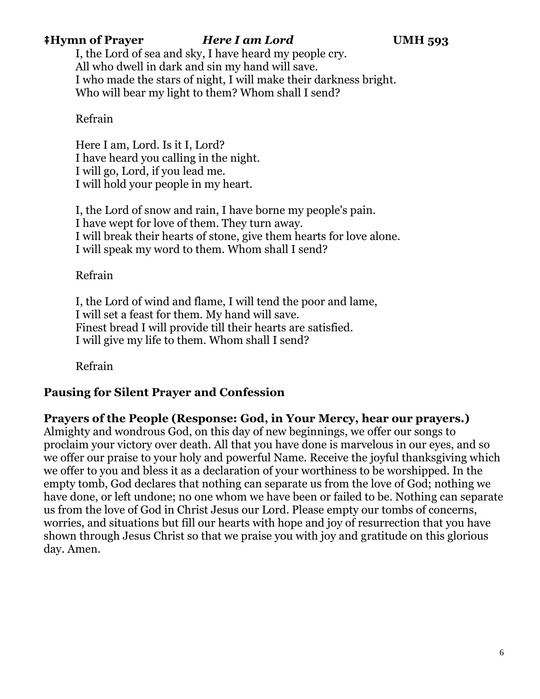#### ⭻**Hymn of Prayer** *Here I am Lord* **UMH 593**

I, the Lord of sea and sky, I have heard my people cry. All who dwell in dark and sin my hand will save. I who made the stars of night, I will make their darkness bright. Who will bear my light to them? Whom shall I send?

Refrain

Here I am, Lord. Is it I, Lord? I have heard you calling in the night. I will go, Lord, if you lead me. I will hold your people in my heart.

I, the Lord of snow and rain, I have borne my people's pain. I have wept for love of them. They turn away. I will break their hearts of stone, give them hearts for love alone. I will speak my word to them. Whom shall I send?

Refrain

I, the Lord of wind and flame, I will tend the poor and lame, I will set a feast for them. My hand will save. Finest bread I will provide till their hearts are satisfied. I will give my life to them. Whom shall I send?

Refrain

#### **Pausing for Silent Prayer and Confession**

#### **Prayers of the People (Response: God, in Your Mercy, hear our prayers.)**

Almighty and wondrous God, on this day of new beginnings, we offer our songs to proclaim your victory over death. All that you have done is marvelous in our eyes, and so we offer our praise to your holy and powerful Name. Receive the joyful thanksgiving which we offer to you and bless it as a declaration of your worthiness to be worshipped. In the empty tomb, God declares that nothing can separate us from the love of God; nothing we have done, or left undone; no one whom we have been or failed to be. Nothing can separate us from the love of God in Christ Jesus our Lord. Please empty our tombs of concerns, worries, and situations but fill our hearts with hope and joy of resurrection that you have shown through Jesus Christ so that we praise you with joy and gratitude on this glorious day. Amen.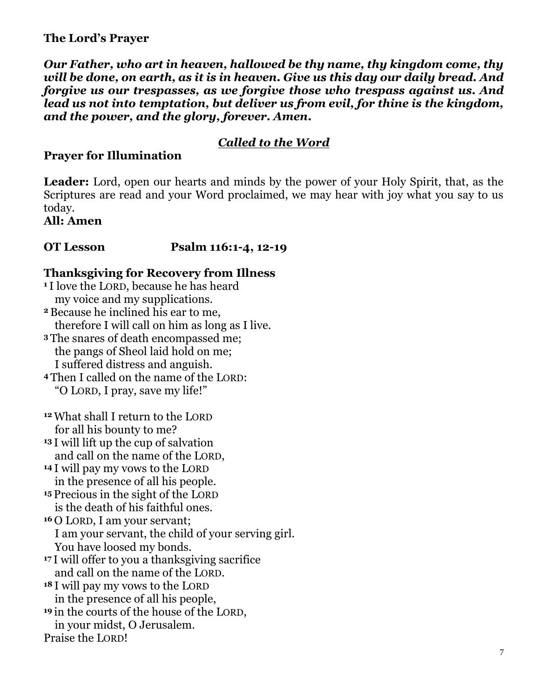### **The Lord's Prayer**

*Our Father, who art in heaven, hallowed be thy name, thy kingdom come, thy will be done, on earth, as it is in heaven. Give us this day our daily bread. And forgive us our trespasses, as we forgive those who trespass against us. And lead us not into temptation, but deliver us from evil, for thine is the kingdom, and the power, and the glory, forever. Amen.*

# *Called to the Word*

#### **Prayer for Illumination**

**Leader:** Lord, open our hearts and minds by the power of your Holy Spirit, that, as the Scriptures are read and your Word proclaimed, we may hear with joy what you say to us today.

**All: Amen**

#### **OT Lesson Psalm 116:1-4, 12-19**

#### **Thanksgiving for Recovery from Illness**

**<sup>1</sup>** I love the LORD, because he has heard my voice and my supplications. **<sup>2</sup>** Because he inclined his ear to me, therefore I will call on him as long as I live. **<sup>3</sup>** The snares of death encompassed me; the pangs of Sheol laid hold on me; I suffered distress and anguish. **<sup>4</sup>** Then I called on the name of the LORD: "O LORD, I pray, save my life!" **<sup>12</sup>** What shall I return to the LORD for all his bounty to me? **<sup>13</sup>** I will lift up the cup of salvation and call on the name of the LORD, **<sup>14</sup>** I will pay my vows to the LORD in the presence of all his people. **<sup>15</sup>** Precious in the sight of the LORD is the death of his faithful ones. **<sup>16</sup>** O LORD, I am your servant; I am your servant, the child of your serving girl. You have loosed my bonds. **<sup>17</sup>** I will offer to you a thanksgiving sacrifice and call on the name of the LORD. **<sup>18</sup>** I will pay my vows to the LORD in the presence of all his people, **<sup>19</sup>** in the courts of the house of the LORD, in your midst, O Jerusalem. Praise the LORD!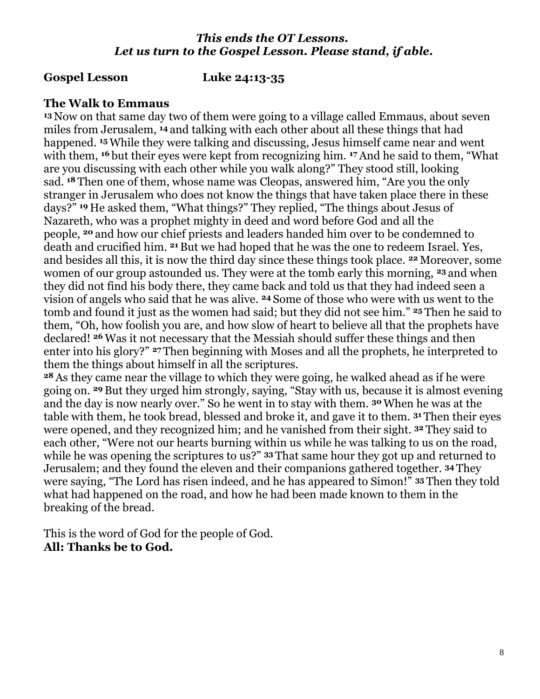#### *This ends the OT Lessons. Let us turn to the Gospel Lesson. Please stand, if able.*

#### **Gospel Lesson Luke 24:13-35**

#### **The Walk to Emmaus**

**<sup>13</sup>** Now on that same day two of them were going to a village called Emmaus, about seven miles from Jerusalem, **<sup>14</sup>** and talking with each other about all these things that had happened. **<sup>15</sup>** While they were talking and discussing, Jesus himself came near and went with them, **<sup>16</sup>** but their eyes were kept from recognizing him. **<sup>17</sup>** And he said to them, "What are you discussing with each other while you walk along?" They stood still, looking sad. **<sup>18</sup>** Then one of them, whose name was Cleopas, answered him, "Are you the only stranger in Jerusalem who does not know the things that have taken place there in these days?" **<sup>19</sup>** He asked them, "What things?" They replied, "The things about Jesus of Nazareth, who was a prophet mighty in deed and word before God and all the people, **<sup>20</sup>** and how our chief priests and leaders handed him over to be condemned to death and crucified him. **<sup>21</sup>** But we had hoped that he was the one to redeem Israel. Yes, and besides all this, it is now the third day since these things took place. **<sup>22</sup>** Moreover, some women of our group astounded us. They were at the tomb early this morning, **<sup>23</sup>** and when they did not find his body there, they came back and told us that they had indeed seen a vision of angels who said that he was alive. **<sup>24</sup>** Some of those who were with us went to the tomb and found it just as the women had said; but they did not see him." **<sup>25</sup>** Then he said to them, "Oh, how foolish you are, and how slow of heart to believe all that the prophets have declared! **<sup>26</sup>** Was it not necessary that the Messiah should suffer these things and then enter into his glory?" **<sup>27</sup>** Then beginning with Moses and all the prophets, he interpreted to them the things about himself in all the scriptures.

**<sup>28</sup>** As they came near the village to which they were going, he walked ahead as if he were going on. **<sup>29</sup>** But they urged him strongly, saying, "Stay with us, because it is almost evening and the day is now nearly over." So he went in to stay with them. **<sup>30</sup>** When he was at the table with them, he took bread, blessed and broke it, and gave it to them. **<sup>31</sup>** Then their eyes were opened, and they recognized him; and he vanished from their sight. **<sup>32</sup>** They said to each other, "Were not our hearts burning within us while he was talking to us on the road, while he was opening the scriptures to us?" **<sup>33</sup>** That same hour they got up and returned to Jerusalem; and they found the eleven and their companions gathered together. **<sup>34</sup>** They were saying, "The Lord has risen indeed, and he has appeared to Simon!" **<sup>35</sup>** Then they told what had happened on the road, and how he had been made known to them in the breaking of the bread.

This is the word of God for the people of God. **All: Thanks be to God.**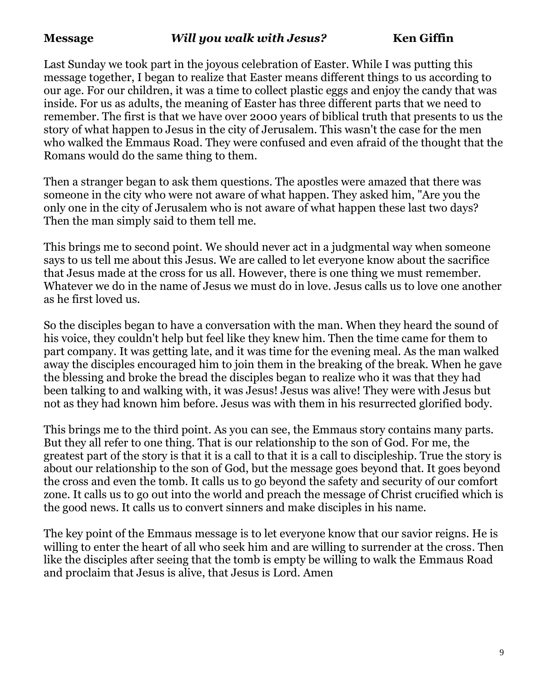**Message** *Will you walk with Jesus?* **Ken Giffin**

Last Sunday we took part in the joyous celebration of Easter. While I was putting this message together, I began to realize that Easter means different things to us according to our age. For our children, it was a time to collect plastic eggs and enjoy the candy that was inside. For us as adults, the meaning of Easter has three different parts that we need to remember. The first is that we have over 2000 years of biblical truth that presents to us the story of what happen to Jesus in the city of Jerusalem. This wasn't the case for the men who walked the Emmaus Road. They were confused and even afraid of the thought that the Romans would do the same thing to them.

Then a stranger began to ask them questions. The apostles were amazed that there was someone in the city who were not aware of what happen. They asked him, "Are you the only one in the city of Jerusalem who is not aware of what happen these last two days? Then the man simply said to them tell me.

This brings me to second point. We should never act in a judgmental way when someone says to us tell me about this Jesus. We are called to let everyone know about the sacrifice that Jesus made at the cross for us all. However, there is one thing we must remember. Whatever we do in the name of Jesus we must do in love. Jesus calls us to love one another as he first loved us.

So the disciples began to have a conversation with the man. When they heard the sound of his voice, they couldn't help but feel like they knew him. Then the time came for them to part company. It was getting late, and it was time for the evening meal. As the man walked away the disciples encouraged him to join them in the breaking of the break. When he gave the blessing and broke the bread the disciples began to realize who it was that they had been talking to and walking with, it was Jesus! Jesus was alive! They were with Jesus but not as they had known him before. Jesus was with them in his resurrected glorified body.

This brings me to the third point. As you can see, the Emmaus story contains many parts. But they all refer to one thing. That is our relationship to the son of God. For me, the greatest part of the story is that it is a call to that it is a call to discipleship. True the story is about our relationship to the son of God, but the message goes beyond that. It goes beyond the cross and even the tomb. It calls us to go beyond the safety and security of our comfort zone. It calls us to go out into the world and preach the message of Christ crucified which is the good news. It calls us to convert sinners and make disciples in his name.

The key point of the Emmaus message is to let everyone know that our savior reigns. He is willing to enter the heart of all who seek him and are willing to surrender at the cross. Then like the disciples after seeing that the tomb is empty be willing to walk the Emmaus Road and proclaim that Jesus is alive, that Jesus is Lord. Amen